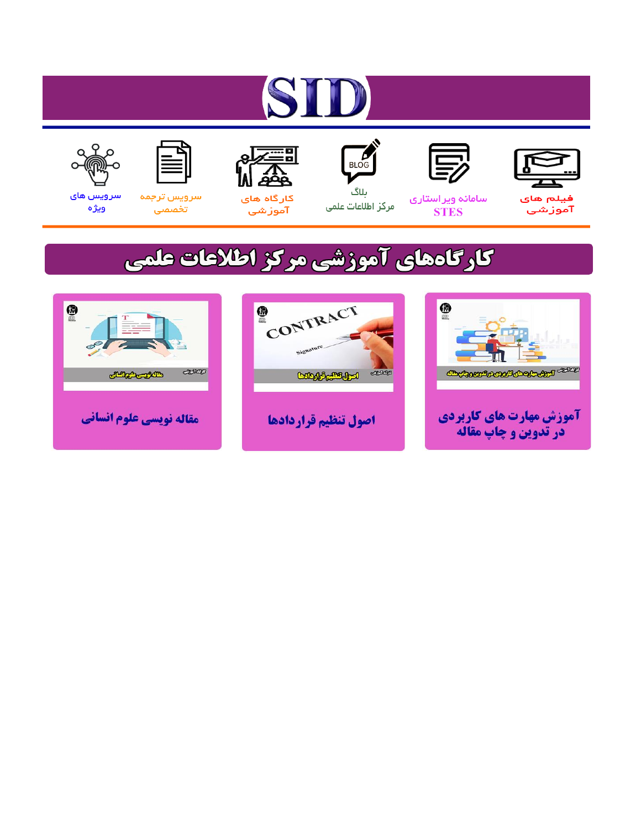# ST











مرکز اطلاعات علمی

 $\frac{1}{\sqrt{\frac{1}{100}}}$ ىلاگ



آموزشي

空

سرويس ترجمه تخصصى



سرویس های ويژه

## كارگاههای آموزشی مركز اطلاعات علمی





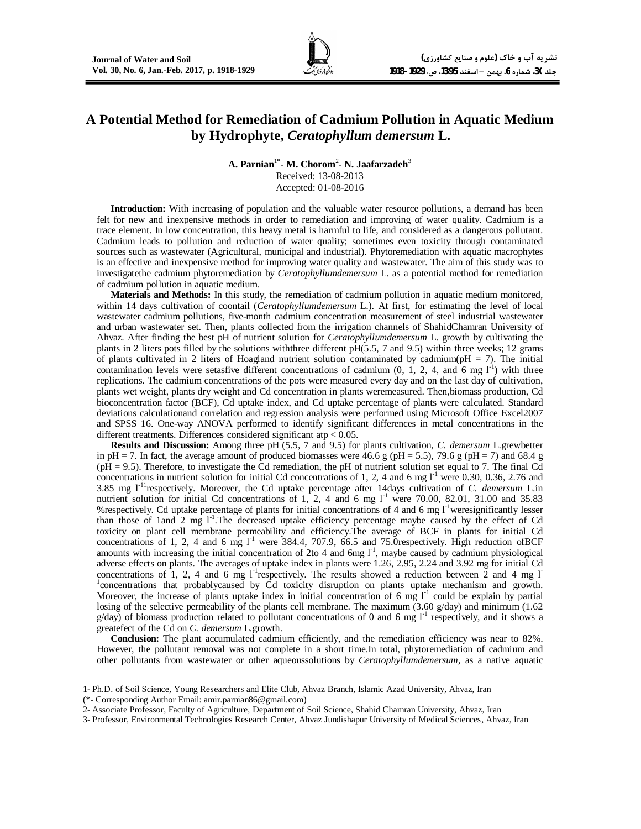### **A Potential Method for Remediation of Cadmium Pollution in Aquatic Medium by Hydrophyte,** *Ceratophyllum demersum* **L.**

**A. Parnian**<sup>1</sup>**\* - M. Chorom**<sup>2</sup> **- N. Jaafarzadeh**<sup>3</sup> Received: 13-08-2013 Accepted: 01-08-2016

**Introduction:** With increasing of population and the valuable water resource pollutions, a demand has been felt for new and inexpensive methods in order to remediation and improving of water quality. Cadmium is a trace element. In low concentration, this heavy metal is harmful to life, and considered as a dangerous pollutant. Cadmium leads to pollution and reduction of water quality; sometimes even toxicity through contaminated sources such as wastewater (Agricultural, municipal and industrial). Phytoremediation with aquatic macrophytes is an effective and inexpensive method for improving water quality and wastewater. The aim of this study was to investigatethe cadmium phytoremediation by *Ceratophyllumdemersum* L. as a potential method for remediation of cadmium pollution in aquatic medium.

**Materials and Methods:** In this study, the remediation of cadmium pollution in aquatic medium monitored, within 14 days cultivation of coontail (*Ceratophyllumdemersum* L.). At first, for estimating the level of local wastewater cadmium pollutions, five-month cadmium concentration measurement of steel industrial wastewater and urban wastewater set. Then, plants collected from the irrigation channels of ShahidChamran University of Ahvaz. After finding the best pH of nutrient solution for *Ceratophyllumdemersum* L. growth by cultivating the plants in 2 liters pots filled by the solutions withthree different pH(5.5, 7 and 9.5) within three weeks; 12 grams of plants cultivated in 2 liters of Hoagland nutrient solution contaminated by cadmium( $pH = 7$ ). The initial contamination levels were setasfive different concentrations of cadmium  $(0, 1, 2, 4, \text{ and } 6 \text{ mg } 1^{\text{-}1})$  with three replications. The cadmium concentrations of the pots were measured every day and on the last day of cultivation, plants wet weight, plants dry weight and Cd concentration in plants weremeasured. Then,biomass production, Cd bioconcentration factor (BCF), Cd uptake index, and Cd uptake percentage of plants were calculated. Standard deviations calculationand correlation and regression analysis were performed using Microsoft Office Excel2007 and SPSS 16. One-way ANOVA performed to identify significant differences in metal concentrations in the different treatments. Differences considered significant atp < 0.05.

**Results and Discussion:** Among three pH (5.5, 7 and 9.5) for plants cultivation, *C. demersum* L.grewbetter in pH = 7. In fact, the average amount of produced biomasses were 46.6 g (pH = 5.5), 79.6 g (pH = 7) and 68.4 g (pH = 9.5). Therefore, to investigate the Cd remediation, the pH of nutrient solution set equal to 7. The final Cd concentrations in nutrient solution for initial Cd concentrations of 1, 2, 4 and 6 mg  $I<sup>-1</sup>$  were 0.30, 0.36, 2.76 and 3.85 mg l-11respectively. Moreover, the Cd uptake percentage after 14days cultivation of *C. demersum* L.in nutrient solution for initial Cd concentrations of 1, 2, 4 and 6 mg  $1^1$  were 70.00, 82.01, 31.00 and 35.83 %respectively. Cd uptake percentage of plants for initial concentrations of 4 and 6 mg  $I<sup>-1</sup>$ weresignificantly lesser than those of 1 and 2 mg 1<sup>-1</sup>. The decreased uptake efficiency percentage maybe caused by the effect of Cd toxicity on plant cell membrane permeability and efficiency.The average of BCF in plants for initial Cd concentrations of 1, 2, 4 and 6 mg  $1^{-1}$  were 384.4, 707.9, 66.5 and 75.0respectively. High reduction of BCF amounts with increasing the initial concentration of 2to 4 and 6mg  $I<sup>-1</sup>$ , maybe caused by cadmium physiological adverse effects on plants. The averages of uptake index in plants were 1.26, 2.95, 2.24 and 3.92 mg for initial Cd concentrations of 1, 2, 4 and 6 mg  $1^{-1}$ respectively. The results showed a reduction between 2 and 4 mg  $1^{-}$ <sup>1</sup> concentrations that probablycaused by Cd toxicity disruption on plants uptake mechanism and growth. Moreover, the increase of plants uptake index in initial concentration of 6 mg  $1<sup>-1</sup>$  could be explain by partial losing of the selective permeability of the plants cell membrane. The maximum (3.60 g/day) and minimum (1.62)  $g/day)$  of biomass production related to pollutant concentrations of 0 and 6 mg  $1<sup>-1</sup>$  respectively, and it shows a greatefect of the Cd on *C. demersum* L.growth.

Conclusion: The plant accumulated cadmium efficiently, and the remediation efficiency was near to 82%. However, the pollutant removal was not complete in a short time.In total, phytoremediation of cadmium and other pollutants from wastewater or other aqueoussolutions by *Ceratophyllumdemersum*, as a native aquatic

 $\overline{a}$ 

<sup>1-</sup> Ph.D. of Soil Science, Young Researchers and Elite Club, Ahvaz Branch, Islamic Azad University, Ahvaz, Iran

<sup>(\*-</sup> Corresponding Author Email: amir.parnian86@gmail.com)

<sup>2-</sup> Associate Professor, Faculty of Agriculture, Department of Soil Science, Shahid Chamran University, Ahvaz, Iran

<sup>3-</sup> Professor, Environmental Technologies Research Center, Ahvaz Jundishapur University of Medical Sciences, Ahvaz, Iran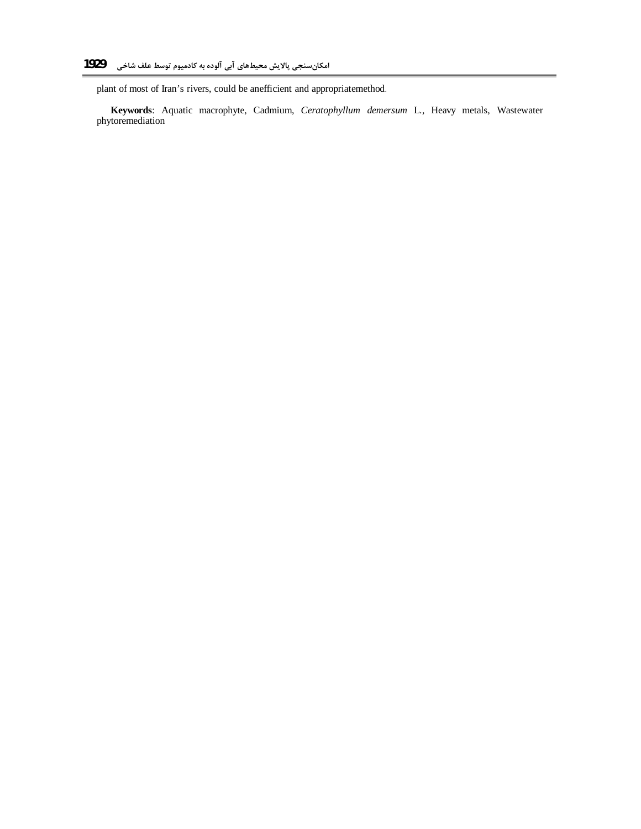plant of most of Iran's rivers, could be anefficient and appropriatemethod.

**Keywords**: Aquatic macrophyte, Cadmium, *Ceratophyllum demersum* L., Heavy metals, Wastewater phytoremediation